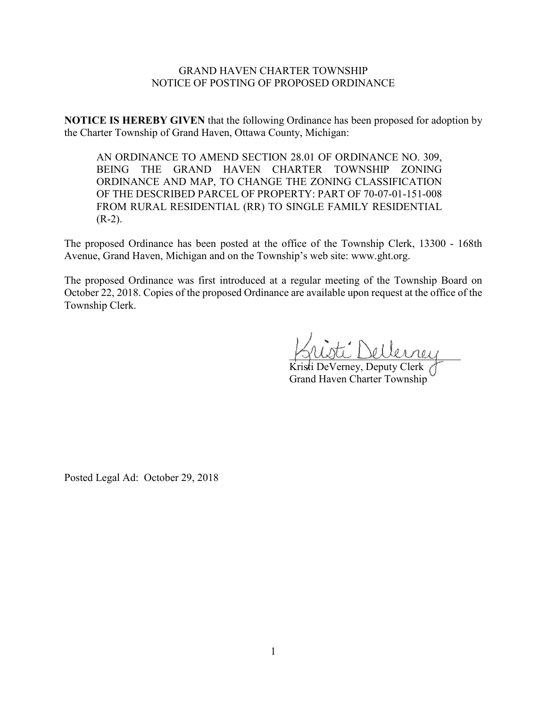## GRAND HAVEN CHARTER TOWNSHIP NOTICE OF POSTING OF PROPOSED ORDINANCE

**NOTICE IS HEREBY GIVEN** that the following Ordinance has been proposed for adoption by the Charter Township of Grand Haven, Ottawa County, Michigan:

AN ORDINANCE TO AMEND SECTION 28.01 OF ORDINANCE NO. 309, BEING THE GRAND HAVEN CHARTER TOWNSHIP ZONING ORDINANCE AND MAP, TO CHANGE THE ZONING CLASSIFICATION OF THE DESCRIBED PARCEL OF PROPERTY: PART OF 70-07-01-151-008 FROM RURAL RESIDENTIAL (RR) TO SINGLE FAMILY RESIDENTIAL  $(R-2)$ .

The proposed Ordinance has been posted at the office of the Township Clerk, 13300 - 168th Avenue, Grand Haven, Michigan and on the Township's web site: www.ght.org.

The proposed Ordinance was first introduced at a regular meeting of the Township Board on October 22, 2018. Copies of the proposed Ordinance are available upon request at the office of the Township Clerk.

\_\_\_\_\_\_\_\_\_\_\_\_\_\_\_\_\_\_\_\_\_\_\_\_\_\_\_\_\_\_\_\_

Kristi DeVerney, Deputy Clerk Grand Haven Charter Township

Posted Legal Ad: October 29, 2018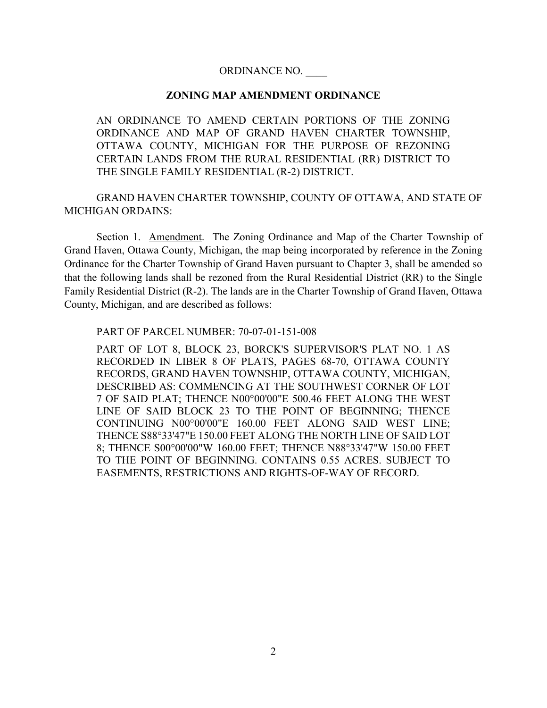## ORDINANCE NO. \_\_\_\_

## **ZONING MAP AMENDMENT ORDINANCE**

AN ORDINANCE TO AMEND CERTAIN PORTIONS OF THE ZONING ORDINANCE AND MAP OF GRAND HAVEN CHARTER TOWNSHIP, OTTAWA COUNTY, MICHIGAN FOR THE PURPOSE OF REZONING CERTAIN LANDS FROM THE RURAL RESIDENTIAL (RR) DISTRICT TO THE SINGLE FAMILY RESIDENTIAL (R-2) DISTRICT.

GRAND HAVEN CHARTER TOWNSHIP, COUNTY OF OTTAWA, AND STATE OF MICHIGAN ORDAINS:

Section 1. Amendment. The Zoning Ordinance and Map of the Charter Township of Grand Haven, Ottawa County, Michigan, the map being incorporated by reference in the Zoning Ordinance for the Charter Township of Grand Haven pursuant to Chapter 3, shall be amended so that the following lands shall be rezoned from the Rural Residential District (RR) to the Single Family Residential District (R-2). The lands are in the Charter Township of Grand Haven, Ottawa County, Michigan, and are described as follows:

PART OF PARCEL NUMBER: 70-07-01-151-008

PART OF LOT 8, BLOCK 23, BORCK'S SUPERVISOR'S PLAT NO. 1 AS RECORDED IN LIBER 8 OF PLATS, PAGES 68-70, OTTAWA COUNTY RECORDS, GRAND HAVEN TOWNSHIP, OTTAWA COUNTY, MICHIGAN, DESCRIBED AS: COMMENCING AT THE SOUTHWEST CORNER OF LOT 7 OF SAID PLAT; THENCE N00°00'00"E 500.46 FEET ALONG THE WEST LINE OF SAID BLOCK 23 TO THE POINT OF BEGINNING; THENCE CONTINUING N00°00'00"E 160.00 FEET ALONG SAID WEST LINE; THENCE S88°33'47"E 150.00 FEET ALONG THE NORTH LINE OF SAID LOT 8; THENCE S00°00'00"W 160.00 FEET; THENCE N88°33'47"W 150.00 FEET TO THE POINT OF BEGINNING. CONTAINS 0.55 ACRES. SUBJECT TO EASEMENTS, RESTRICTIONS AND RIGHTS-OF-WAY OF RECORD.